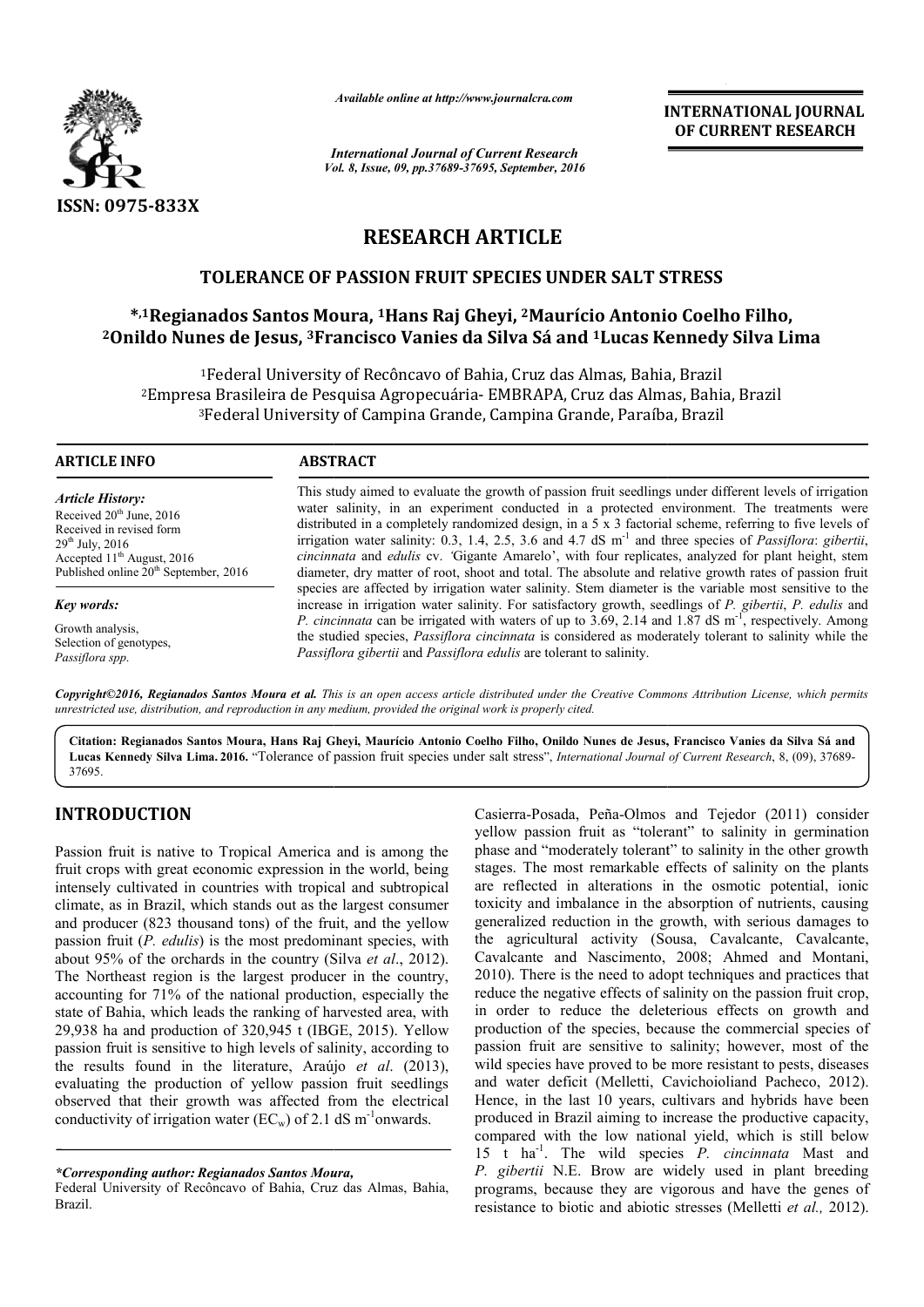

*Available online at http://www.journalcra.com*

*International Journal of Current Research Vol. 8, Issue, 09, pp.37689-37695, September, 2016* INTERNATIONAL JOURNAL OF CURRENT RESEARCH

# RESEARCH ARTICLE

# TOLERANCE OF PASSION FRUIT SPECIES UNDER SALT STRESS

### \*,1Regianados Santos Moura, <sup>1</sup>Hans Raj Gheyi, <sup>2</sup>Maurício Antonio Coelho Filho,  $^{2}$ Onildo Nunes de Jesus,  $^{3}$ Francisco Vanies da Silva Sá and  $^{1}$ Lucas Kennedy Silva Lima

<sup>1</sup>Federal University of Recôncavo of Bahia, Cruz das Almas, Bahia, Brazil <sup>2</sup>Empresa Brasileira de Pesquisa Agropecuária- EMBRAPA, Cruz das Almas, Bahia, Brazil  ${}^{3}$ Federal University of Campina Grande, Campina Grande, Paraíba, Brazil ruz das Almas, Bahia,<br>RAPA, Cruz das Almas<br>pina Grande, Paraíba,

| ARTICLE INFO                                                                                                                                                                                | <b>ABSTRACT</b>                                                                                                                                                                                                                                                                                                                                                                                                                                                                                                                                                                                                                                                                                                                                                                                                                                                                                                                                                                                                                                                                                                                                                                              |
|---------------------------------------------------------------------------------------------------------------------------------------------------------------------------------------------|----------------------------------------------------------------------------------------------------------------------------------------------------------------------------------------------------------------------------------------------------------------------------------------------------------------------------------------------------------------------------------------------------------------------------------------------------------------------------------------------------------------------------------------------------------------------------------------------------------------------------------------------------------------------------------------------------------------------------------------------------------------------------------------------------------------------------------------------------------------------------------------------------------------------------------------------------------------------------------------------------------------------------------------------------------------------------------------------------------------------------------------------------------------------------------------------|
| <b>Article History:</b><br>Received $20th$ June, 2016<br>Received in revised form<br>$29th$ July, 2016<br>Accepted $11th$ August, 2016<br>Published online 20 <sup>th</sup> September, 2016 | This study aimed to evaluate the growth of passion fruit seedlings under different levels of irrigation<br>water salinity, in an experiment conducted in a protected environment. The treatments were<br>distributed in a completely randomized design, in a 5 x 3 factorial scheme, referring to five levels of<br>irrigation water salinity: 0.3, 1.4, 2.5, 3.6 and 4.7 dS $m-1$ and three species of <i>Passiflora: gibertii</i> ,<br>cincinnata and edulis cv. 'Gigante Amarelo', with four replicates, analyzed for plant height, stem<br>diameter, dry matter of root, shoot and total. The absolute and relative growth rates of passion fruit<br>species are affected by irrigation water salinity. Stem diameter is the variable most sensitive to the<br>increase in irrigation water salinity. For satisfactory growth, seedlings of P. gibertii, P. edulis and<br><i>P. cincinnata</i> can be irrigated with waters of up to 3.69, 2.14 and 1.87 dS m <sup>-1</sup> , respectively. Among<br>the studied species, <i>Passiflora cincinnata</i> is considered as moderately tolerant to salinity while the<br>Passiflora gibertii and Passiflora edulis are tolerant to salinity. |
| Key words:                                                                                                                                                                                  |                                                                                                                                                                                                                                                                                                                                                                                                                                                                                                                                                                                                                                                                                                                                                                                                                                                                                                                                                                                                                                                                                                                                                                                              |
| Growth analysis,<br>Selection of genotypes,<br>Passiflora spp.                                                                                                                              |                                                                                                                                                                                                                                                                                                                                                                                                                                                                                                                                                                                                                                                                                                                                                                                                                                                                                                                                                                                                                                                                                                                                                                                              |

Copyright©2016, Regianados Santos Moura et al. This is an open access article distributed under the Creative Commons Attribution License, which permits *unrestricted use, distribution, and reproduction in any medium, provided the original work is properly cited.*

Citation: Regianados Santos Moura, Hans Raj Gheyi, Maurício Antonio Coelho Filho, Onildo Nunes de Jesus, Francisco Vanies da Silva Sá and Lucas Kennedy Silva Lima. 2016. "Tolerance of passion fruit species under salt stress", *International Journal of Current Research*, 8, (09), 37689-37695.

## INTRODUCTION

Passion fruit is native to Tropical America and is among the fruit crops with great economic expression in the world, being intensely cultivated in countries with tropical and subtropical climate, as in Brazil, which stands out as the largest consumer and producer (823 thousand tons) of the fruit, and the yellow passion fruit (*P. edulis*) is the most predominant species, with and producer (823 thousand tons) of the fruit, and the yellow<br>passion fruit (*P. edulis*) is the most predominant species, with<br>about 95% of the orchards in the country (Silva *et al.*, 2012). The Northeast region is the largest producer in the country, accounting for 71% of the national production, especially the state of Bahia, which leads the ranking of harvested area, with 29,938 ha and production of 320,945 t (IBGE, 2015). Yellow passion fruit is sensitive to high levels of salinity, according to the results found in the literature, Araújo *et al*. (2013), evaluating the production of yellow passion fruit seedlings observed that their growth was affected from the electrical conductivity of irrigation water ( $EC_w$ ) of 2.1 dS m<sup>-1</sup>onwards.

*\*Corresponding author: Regianados Santos Moura,*

Federal University of Recôncavo of Bahia, Cruz das Almas, Bahia, Brazil.

Casierra-Posada, Peña-Olmos and Tejedor (2011) consider yellow passion fruit as "tolerant" to salinity in germination phase and "moderately tolerant" to salinity in the other growth stages. The most remarkable effects of salinity on the plants yellow passion fruit as "tolerant" to salinity in germination phase and "moderately tolerant" to salinity in the other growth stages. The most remarkable effects of salinity on the plants are reflected in alterations in th toxicity and imbalance in the absorption of nutrients, causing generalized reduction in the growth, with serious damages to the agricultural activity (Sousa, Cavalcante, Cavalcante, Cavalcante and Nascimento, 2008; Ahmed 2010). There is the need to adopt techniques and practices that reduce the negative effects of salinity on the passion fruit crop, in order to reduce the deleterious effects on growth and production of the species, because the commercial species of passion fruit are sensitive to salinity; however, most of the wild species have proved to be more resistant to pests, diseases 2010). There is the need to adopt techniques and practices that reduce the negative effects of salinity on the passion fruit crop, in order to reduce the deleterious effects on growth and production of the species, because Hence, in the last 10 years, cultivars and hybrids have been produced in Brazil aiming to increase the productive capacity, compared with the low national yield, which is still below 15 t ha-1 . The wild species *P. cincinnata* Mast and *P. gibertii* N.E. Brow are widely used in plant breeding programs, because they are vigorous and have the genes of resistance to biotic and abiotic stresses (Melletti *et al.*, 2012). generalized reduction in the growth, with serious damages to<br>the agricultural activity (Sousa, Cavalcante, Cavalcante,<br>Cavalcante and Nascimento, 2008; Ahmed and Montani, Hence, in the last 10 years, cultivars and hybrids have produced in Brazil aiming to increase the productive ca compared with the low national yield, which is still Frow are widely used in plant breeding<br>they are vigorous and have the genes of<br>and abiotic stresses (Melletti *et al.*, 2012).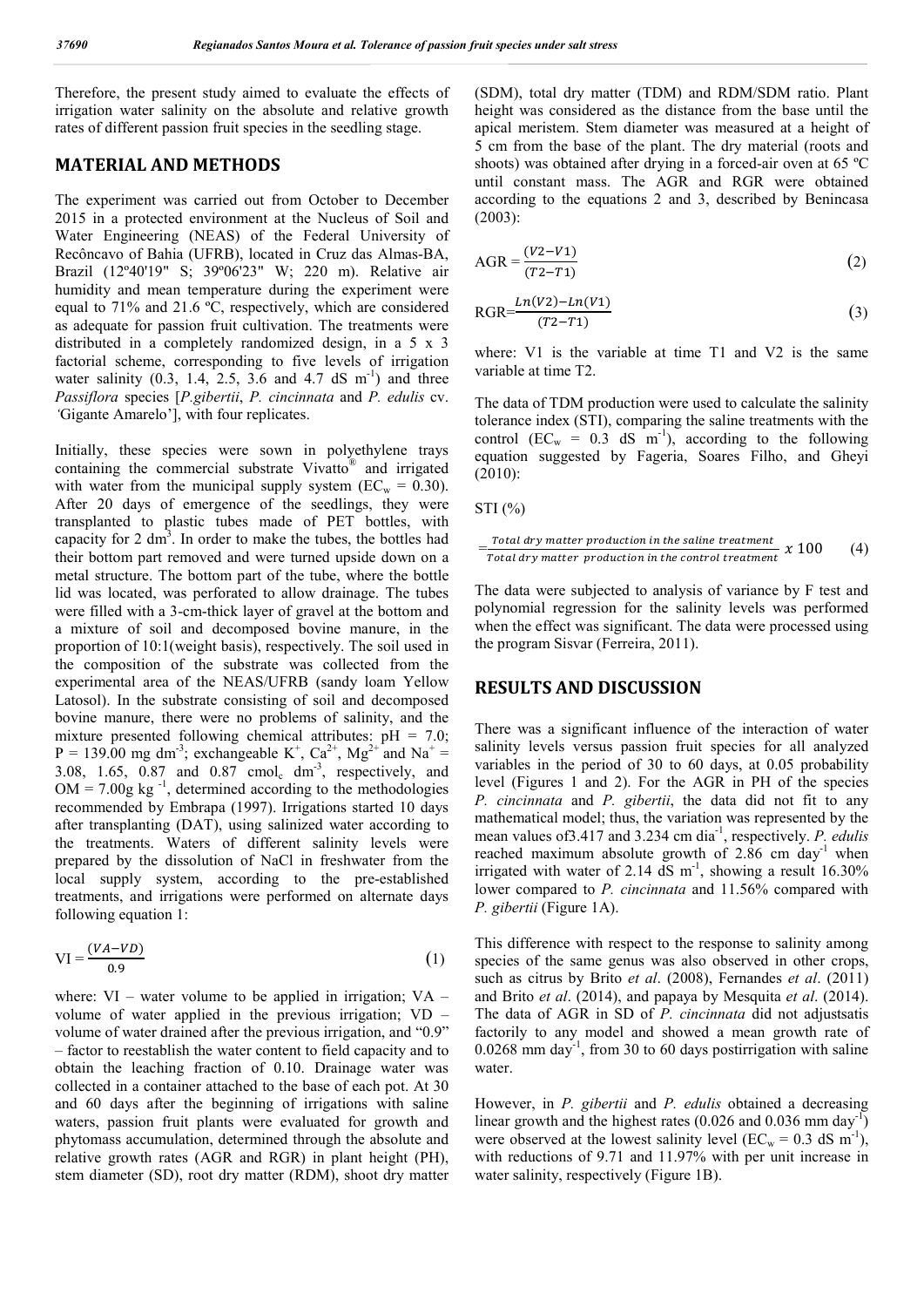Therefore, the present study aimed to evaluate the effects of irrigation water salinity on the absolute and relative growth rates of different passion fruit species in the seedling stage.

#### MATERIAL AND METHODS

The experiment was carried out from October to December 2015 in a protected environment at the Nucleus of Soil and Water Engineering (NEAS) of the Federal University of Recôncavo of Bahia (UFRB), located in Cruz das Almas-BA, Brazil (12º40'19" S; 39º06'23" W; 220 m). Relative air humidity and mean temperature during the experiment were equal to 71% and 21.6 ºC, respectively, which are considered as adequate for passion fruit cultivation. The treatments were distributed in a completely randomized design, in a 5 x 3 factorial scheme, corresponding to five levels of irrigation water salinity  $(0.3, 1.4, 2.5, 3.6,$  and  $(4.7 \text{ dS/m}^{-1})$  and three *Passiflora* species [*P.gibertii*, *P. cincinnata* and *P. edulis* cv. *'*Gigante Amarelo'], with four replicates.

Initially, these species were sown in polyethylene trays containing the commercial substrate Vivatto® and irrigated with water from the municipal supply system ( $EC_w = 0.30$ ). After 20 days of emergence of the seedlings, they were transplanted to plastic tubes made of PET bottles, with capacity for 2  $\text{dm}^3$ . In order to make the tubes, the bottles had their bottom part removed and were turned upside down on a metal structure. The bottom part of the tube, where the bottle lid was located, was perforated to allow drainage. The tubes were filled with a 3-cm-thick layer of gravel at the bottom and a mixture of soil and decomposed bovine manure, in the proportion of 10:1(weight basis), respectively. The soil used in the composition of the substrate was collected from the experimental area of the NEAS/UFRB (sandy loam Yellow Latosol). In the substrate consisting of soil and decomposed bovine manure, there were no problems of salinity, and the mixture presented following chemical attributes:  $pH = 7.0$ ;  $P = 139.00$  mg dm<sup>-3</sup>; exchangeable K<sup>+</sup>, Ca<sup>2+</sup>, Mg<sup>2+</sup> and Na<sup>+</sup> = 3.08, 1.65, 0.87 and  $0.87$  cmol<sub>c</sub> dm<sup>-3</sup>, respectively, and  $OM = 7.00g$  kg<sup>-1</sup>, determined according to the methodologies recommended by Embrapa (1997). Irrigations started 10 days after transplanting (DAT), using salinized water according to the treatments. Waters of different salinity levels were prepared by the dissolution of NaCl in freshwater from the local supply system, according to the pre-established treatments, and irrigations were performed on alternate days following equation 1:

$$
VI = \frac{(VA - VD)}{0.9} \tag{1}
$$

where:  $VI$  – water volume to be applied in irrigation;  $VA$  – volume of water applied in the previous irrigation; VD – volume of water drained after the previous irrigation, and "0.9" – factor to reestablish the water content to field capacity and to obtain the leaching fraction of 0.10. Drainage water was collected in a container attached to the base of each pot. At 30 and 60 days after the beginning of irrigations with saline waters, passion fruit plants were evaluated for growth and phytomass accumulation, determined through the absolute and relative growth rates (AGR and RGR) in plant height (PH), stem diameter (SD), root dry matter (RDM), shoot dry matter

(SDM), total dry matter (TDM) and RDM/SDM ratio. Plant height was considered as the distance from the base until the apical meristem. Stem diameter was measured at a height of 5 cm from the base of the plant. The dry material (roots and shoots) was obtained after drying in a forced-air oven at 65 ºC until constant mass. The AGR and RGR were obtained according to the equations 2 and 3, described by Benincasa (2003):

$$
AGR = \frac{(V2 - V1)}{(T2 - T1)}
$$
\n(2)

$$
RGR = \frac{Ln(V2) - Ln(V1)}{(T2 - T1)}
$$
\n(3)

where: V1 is the variable at time T1 and V2 is the same variable at time T2.

The data of TDM production were used to calculate the salinity tolerance index (STI), comparing the saline treatments with the control  $(EC_w = 0.3 \text{ dS} \text{ m}^{-1})$ , according to the following equation suggested by Fageria, Soares Filho, and Gheyi (2010):

STI (%)

$$
= \frac{\text{Total dry matter production in the saline treatment}}{\text{Total dry matter production in the control treatment}} \times 100 \tag{4}
$$

The data were subjected to analysis of variance by F test and polynomial regression for the salinity levels was performed when the effect was significant. The data were processed using the program Sisvar (Ferreira, 2011).

#### RESULTS AND DISCUSSION

There was a significant influence of the interaction of water salinity levels versus passion fruit species for all analyzed variables in the period of 30 to 60 days, at 0.05 probability level (Figures 1 and 2). For the AGR in PH of the species *P. cincinnata* and *P. gibertii*, the data did not fit to any mathematical model; thus, the variation was represented by the mean values of 3.417 and 3.234 cm dia<sup>-1</sup>, respectively. *P. edulis* reached maximum absolute growth of 2.86 cm day<sup>-1</sup> when irrigated with water of 2.14 dS m<sup>-1</sup>, showing a result 16.30% lower compared to *P. cincinnata* and 11.56% compared with *P. gibertii* (Figure 1A).

This difference with respect to the response to salinity among species of the same genus was also observed in other crops, such as citrus by Brito *et al*. (2008), Fernandes *et al*. (2011) and Brito *et al*. (2014), and papaya by Mesquita *et al*. (2014). The data of AGR in SD of *P. cincinnata* did not adjustsatis factorily to any model and showed a mean growth rate of 0.0268 mm day-1 , from 30 to 60 days postirrigation with saline water.

However, in *P. gibertii* and *P. edulis* obtained a decreasing linear growth and the highest rates  $(0.026$  and  $0.036$  mm day<sup>-1</sup>) were observed at the lowest salinity level ( $EC_w = 0.3$  dS m<sup>-1</sup>), with reductions of 9.71 and 11.97% with per unit increase in water salinity, respectively (Figure 1B).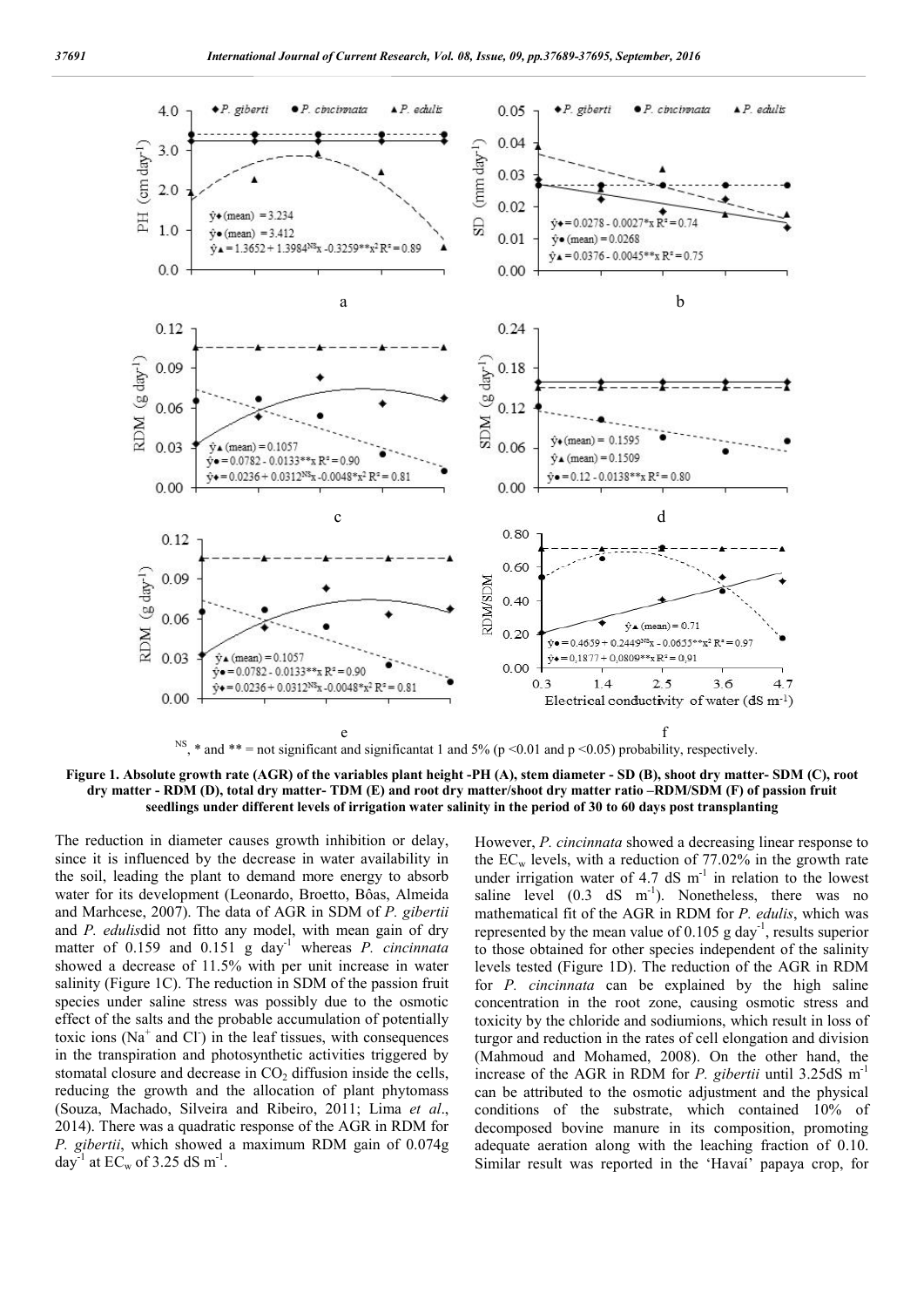

Figure 1. Absolute growth rate (AGR) of the variables plant height -PH (A), stem diameter - SD (B), shoot dry matter- SDM (C), root dry matter - RDM (D), total dry matter- TDM (E) and root dry matter/shoot dry matter ratio –RDM/SDM (F) of passion fruit seedlings under different levels of irrigation water salinity in the period of 30 to 60 days post transplanting

The reduction in diameter causes growth inhibition or delay, since it is influenced by the decrease in water availability in the soil, leading the plant to demand more energy to absorb water for its development (Leonardo, Broetto, Bôas, Almeida and Marhcese, 2007). The data of AGR in SDM of *P. gibertii* and *P. edulis*did not fitto any model, with mean gain of dry matter of 0.159 and 0.151 g day-1 whereas *P. cincinnata* showed a decrease of 11.5% with per unit increase in water salinity (Figure 1C). The reduction in SDM of the passion fruit species under saline stress was possibly due to the osmotic effect of the salts and the probable accumulation of potentially toxic ions ( $Na<sup>+</sup>$  and Cl ) in the leaf tissues, with consequences in the transpiration and photosynthetic activities triggered by stomatal closure and decrease in  $CO<sub>2</sub>$  diffusion inside the cells, reducing the growth and the allocation of plant phytomass (Souza, Machado, Silveira and Ribeiro, 2011; Lima *et al*., 2014). There was a quadratic response of the AGR in RDM for *P. gibertii*, which showed a maximum RDM gain of 0.074g day<sup>-1</sup> at EC<sub>w</sub> of 3.25 dS m<sup>-1</sup>.

However, *P. cincinnata* showed a decreasing linear response to the  $EC_w$  levels, with a reduction of 77.02% in the growth rate under irrigation water of 4.7 dS  $m^{-1}$  in relation to the lowest saline level  $(0.3 \text{ dS} \text{ m}^{-1})$ . Nonetheless, there was no mathematical fit of the AGR in RDM for *P. edulis*, which was represented by the mean value of 0.105 g day<sup>-1</sup>, results superior to those obtained for other species independent of the salinity levels tested (Figure 1D). The reduction of the AGR in RDM for *P. cincinnata* can be explained by the high saline concentration in the root zone, causing osmotic stress and toxicity by the chloride and sodiumions, which result in loss of turgor and reduction in the rates of cell elongation and division (Mahmoud and Mohamed, 2008). On the other hand, the increase of the AGR in RDM for *P. gibertii* until 3.25dS m-1 can be attributed to the osmotic adjustment and the physical conditions of the substrate, which contained 10% of decomposed bovine manure in its composition, promoting adequate aeration along with the leaching fraction of 0.10. Similar result was reported in the 'Havaí' papaya crop, for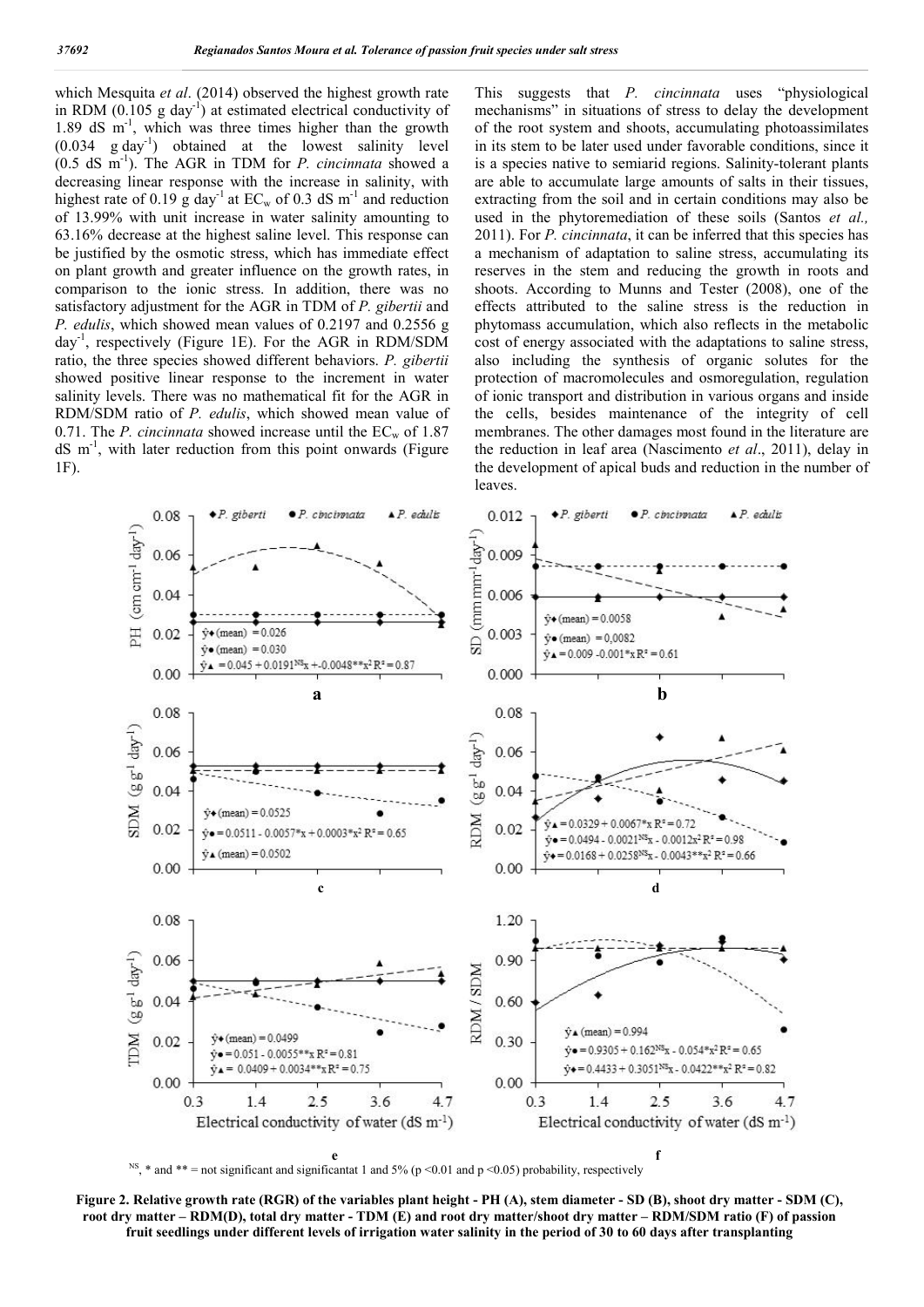which Mesquita *et al*. (2014) observed the highest growth rate in RDM  $(0.105 \text{ g day}^{-1})$  at estimated electrical conductivity of 1.89 dS m<sup>-1</sup>, which was three times higher than the growth  $(0.034 \text{ g day}^{-1})$  obtained at the lowest salinity level (0.5 dS m-1 ). The AGR in TDM for *P. cincinnata* showed a decreasing linear response with the increase in salinity, with highest rate of 0.19 g day<sup>-1</sup> at  $EC_w$  of 0.3 dS m<sup>-1</sup> and reduction of 13.99% with unit increase in water salinity amounting to 63.16% decrease at the highest saline level. This response can be justified by the osmotic stress, which has immediate effect on plant growth and greater influence on the growth rates, in comparison to the ionic stress. In addition, there was no satisfactory adjustment for the AGR in TDM of *P. gibertii* and *P. edulis*, which showed mean values of 0.2197 and 0.2556 g day-1 , respectively (Figure 1E). For the AGR in RDM/SDM ratio, the three species showed different behaviors. *P. gibertii* showed positive linear response to the increment in water salinity levels. There was no mathematical fit for the AGR in RDM/SDM ratio of *P. edulis*, which showed mean value of 0.71. The *P. cincinnata* showed increase until the  $EC_w$  of 1.87 dS m-1 , with later reduction from this point onwards (Figure 1F).

This suggests that *P. cincinnata* uses "physiological mechanisms" in situations of stress to delay the development of the root system and shoots, accumulating photoassimilates in its stem to be later used under favorable conditions, since it is a species native to semiarid regions. Salinity-tolerant plants are able to accumulate large amounts of salts in their tissues, extracting from the soil and in certain conditions may also be used in the phytoremediation of these soils (Santos *et al.,* 2011). For *P. cincinnata*, it can be inferred that this species has a mechanism of adaptation to saline stress, accumulating its reserves in the stem and reducing the growth in roots and shoots. According to Munns and Tester (2008), one of the effects attributed to the saline stress is the reduction in phytomass accumulation, which also reflects in the metabolic cost of energy associated with the adaptations to saline stress, also including the synthesis of organic solutes for the protection of macromolecules and osmoregulation, regulation of ionic transport and distribution in various organs and inside the cells, besides maintenance of the integrity of cell membranes. The other damages most found in the literature are the reduction in leaf area (Nascimento *et al*., 2011), delay in the development of apical buds and reduction in the number of leaves.



Figure 2. Relative growth rate (RGR) of the variables plant height - PH (A), stem diameter - SD (B), shoot dry matter - SDM (C), root dry matter – RDM(D), total dry matter - TDM (E) and root dry matter/shoot dry matter – RDM/SDM ratio (F) of passion fruit seedlings under different levels of irrigation water salinity in the period of 30 to 60 days after transplanting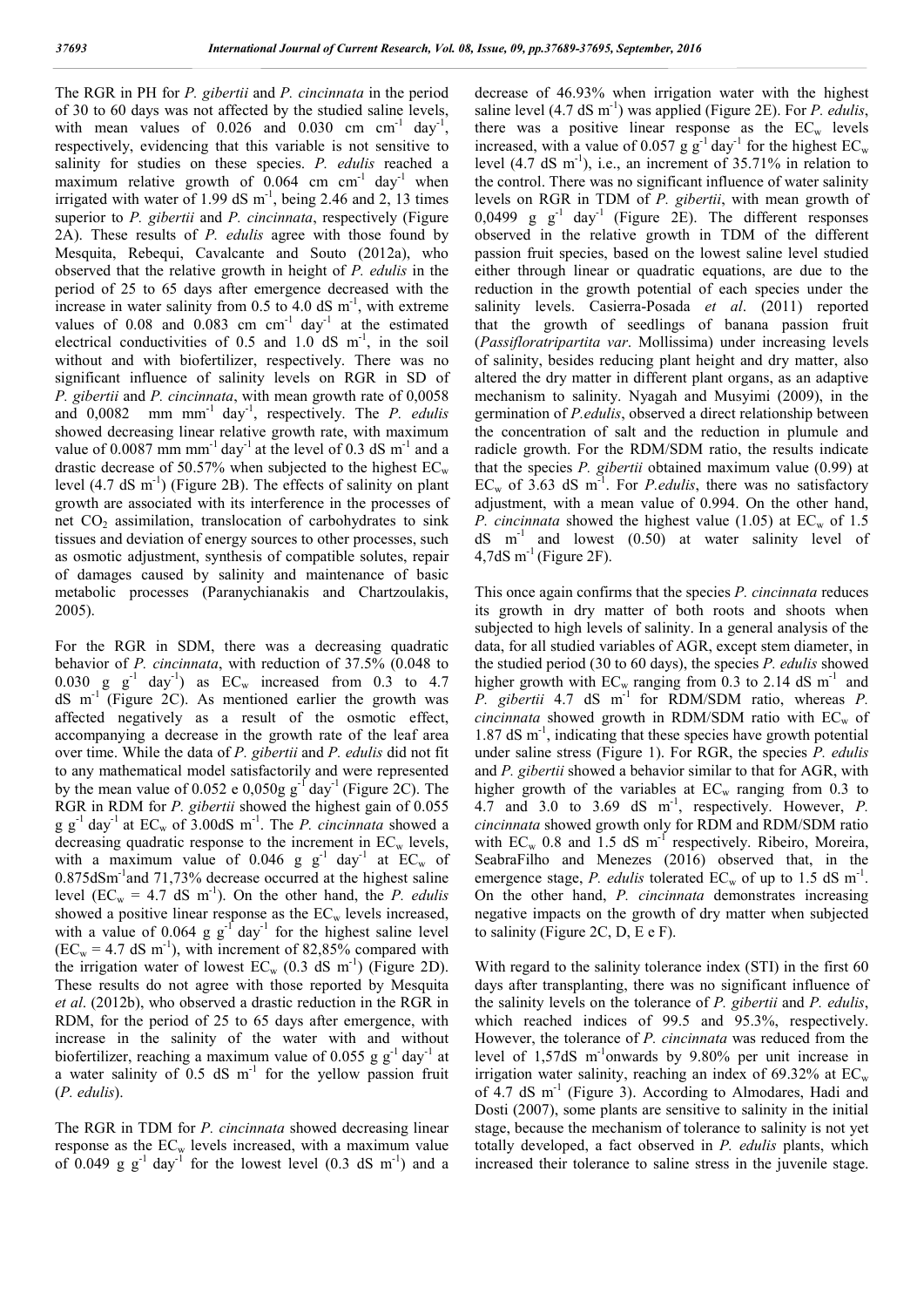The RGR in PH for *P. gibertii* and *P. cincinnata* in the period of 30 to 60 days was not affected by the studied saline levels, with mean values of  $0.026$  and  $0.030$  cm cm<sup>-1</sup> day<sup>-1</sup>, respectively, evidencing that this variable is not sensitive to salinity for studies on these species. *P. edulis* reached a maximum relative growth of  $0.064$  cm  $cm^{-1}$  day<sup>-1</sup> when irrigated with water of 1.99 dS  $m^{-1}$ , being 2.46 and 2, 13 times superior to *P. gibertii* and *P. cincinnata*, respectively (Figure 2A). These results of *P. edulis* agree with those found by Mesquita, Rebequi, Cavalcante and Souto (2012a), who observed that the relative growth in height of *P. edulis* in the period of 25 to 65 days after emergence decreased with the increase in water salinity from  $0.5$  to  $4.0$  dS m<sup>-1</sup>, with extreme values of  $0.08$  and  $0.083$  cm cm<sup>-1</sup> day<sup>-1</sup> at the estimated electrical conductivities of  $0.5$  and  $1.0$  dS m<sup>-1</sup>, in the soil without and with biofertilizer, respectively. There was no significant influence of salinity levels on RGR in SD of *P. gibertii* and *P. cincinnata*, with mean growth rate of 0,0058 and 0,0082 mm mm-1 day-1 , respectively. The *P. edulis* showed decreasing linear relative growth rate, with maximum value of 0.0087 mm mm<sup>-1</sup> day<sup>-1</sup> at the level of 0.3 dS m<sup>-1</sup> and a drastic decrease of 50.57% when subjected to the highest  $EC_w$ level  $(4.7 \text{ dS m}^{-1})$  (Figure 2B). The effects of salinity on plant growth are associated with its interference in the processes of net  $CO<sub>2</sub>$  assimilation, translocation of carbohydrates to sink tissues and deviation of energy sources to other processes, such as osmotic adjustment, synthesis of compatible solutes, repair of damages caused by salinity and maintenance of basic metabolic processes (Paranychianakis and Chartzoulakis, 2005).

For the RGR in SDM, there was a decreasing quadratic behavior of *P. cincinnata*, with reduction of 37.5% (0.048 to 0.030 g  $g^{-1}$  day<sup>-1</sup>) as  $EC_w$  increased from 0.3 to 4.7  $dS$  m<sup>-1</sup> (Figure 2C). As mentioned earlier the growth was affected negatively as a result of the osmotic effect, accompanying a decrease in the growth rate of the leaf area over time. While the data of *P. gibertii* and *P. edulis* did not fit to any mathematical model satisfactorily and were represented by the mean value of 0.052 e 0,050g  $g^{-1}$  day<sup>-1</sup> (Figure 2C). The RGR in RDM for *P. gibertii* showed the highest gain of 0.055  $g g^{-1}$  day<sup>-1</sup> at  $EC_w$  of 3.00dS m<sup>-1</sup>. The *P. cincinnata* showed a decreasing quadratic response to the increment in  $EC_w$  levels, with a maximum value of 0.046 g  $g^{-1}$  day<sup>-1</sup> at EC<sub>w</sub> of 0.875dSm-1 and 71,73% decrease occurred at the highest saline level ( $EC_w = 4.7$  dS m<sup>-1</sup>). On the other hand, the *P. edulis* showed a positive linear response as the  $EC_w$  levels increased, with a value of  $0.064$  g  $g^{-1}$  day<sup>-1</sup> for the highest saline level  $(EC_w = 4.7 \text{ dS m}^{-1})$ , with increment of 82,85% compared with the irrigation water of lowest  $EC_w$  (0.3 dS m<sup>-1</sup>) (Figure 2D). These results do not agree with those reported by Mesquita *et al*. (2012b), who observed a drastic reduction in the RGR in RDM, for the period of 25 to 65 days after emergence, with increase in the salinity of the water with and without biofertilizer, reaching a maximum value of 0.055 g  $g^{-1}$  day<sup>-1</sup> at a water salinity of  $0.5$  dS m<sup>-1</sup> for the yellow passion fruit (*P. edulis*).

The RGR in TDM for *P. cincinnata* showed decreasing linear response as the  $EC_w$  levels increased, with a maximum value of 0.049 g  $g^{-1}$  day<sup>-1</sup> for the lowest level (0.3 dS m<sup>-1</sup>) and a decrease of 46.93% when irrigation water with the highest saline level  $(4.7 \text{ dS m}^{-1})$  was applied (Figure 2E). For *P. edulis*, there was a positive linear response as the  $EC_w$  levels increased, with a value of 0.057 g  $g^{-1}$  day<sup>-1</sup> for the highest EC<sub>w</sub> level  $(4.7 \text{ dS m}^{-1})$ , i.e., an increment of 35.71% in relation to the control. There was no significant influence of water salinity levels on RGR in TDM of *P. gibertii*, with mean growth of 0,0499 g  $g^{-1}$  day<sup>-1</sup> (Figure 2E). The different responses observed in the relative growth in TDM of the different passion fruit species, based on the lowest saline level studied either through linear or quadratic equations, are due to the reduction in the growth potential of each species under the salinity levels. Casierra-Posada *et al*. (2011) reported that the growth of seedlings of banana passion fruit (*Passifloratripartita var*. Mollissima) under increasing levels of salinity, besides reducing plant height and dry matter, also altered the dry matter in different plant organs, as an adaptive mechanism to salinity. Nyagah and Musyimi (2009), in the germination of *P.edulis*, observed a direct relationship between the concentration of salt and the reduction in plumule and radicle growth. For the RDM/SDM ratio, the results indicate that the species *P. gibertii* obtained maximum value (0.99) at  $EC_w$  of 3.63 dS m<sup>-1</sup>. For *P.edulis*, there was no satisfactory adjustment, with a mean value of 0.994. On the other hand, *P. cincinnata* showed the highest value (1.05) at  $EC_w$  of 1.5  $dS$  m<sup>-1</sup> and lowest  $(0.50)$  at water salinity level of  $4,7dS \text{ m}^{-1}$  (Figure 2F).

This once again confirms that the species *P. cincinnata* reduces its growth in dry matter of both roots and shoots when subjected to high levels of salinity. In a general analysis of the data, for all studied variables of AGR, except stem diameter, in the studied period (30 to 60 days), the species *P. edulis* showed higher growth with  $EC_w$  ranging from 0.3 to 2.14 dS m<sup>-1</sup> and *P. gibertii* 4.7 dS m<sup>-1</sup> for RDM/SDM ratio, whereas *P. cincinnata* showed growth in RDM/SDM ratio with  $EC_w$  of 1.87 dS m-1 , indicating that these species have growth potential under saline stress (Figure 1). For RGR, the species *P. edulis* and *P. gibertii* showed a behavior similar to that for AGR, with higher growth of the variables at  $EC_w$  ranging from 0.3 to 4.7 and 3.0 to 3.69 dS  $m^{-1}$ , respectively. However, *P*. *cincinnata* showed growth only for RDM and RDM/SDM ratio with  $EC_w$  0.8 and 1.5 dS m<sup>-1</sup> respectively. Ribeiro, Moreira, SeabraFilho and Menezes (2016) observed that, in the emergence stage, *P. edulis* tolerated  $EC_w$  of up to 1.5 dS m<sup>-1</sup>. On the other hand, *P. cincinnata* demonstrates increasing negative impacts on the growth of dry matter when subjected to salinity (Figure 2C, D, E e F).

With regard to the salinity tolerance index (STI) in the first 60 days after transplanting, there was no significant influence of the salinity levels on the tolerance of *P. gibertii* and *P. edulis*, which reached indices of 99.5 and 95.3%, respectively. However, the tolerance of *P. cincinnata* was reduced from the level of 1,57dS m<sup>-1</sup>onwards by 9.80% per unit increase in irrigation water salinity, reaching an index of  $69.32\%$  at  $EC_w$ of 4.7 dS  $m^{-1}$  (Figure 3). According to Almodares, Hadi and Dosti (2007), some plants are sensitive to salinity in the initial stage, because the mechanism of tolerance to salinity is not yet totally developed, a fact observed in *P. edulis* plants, which increased their tolerance to saline stress in the juvenile stage.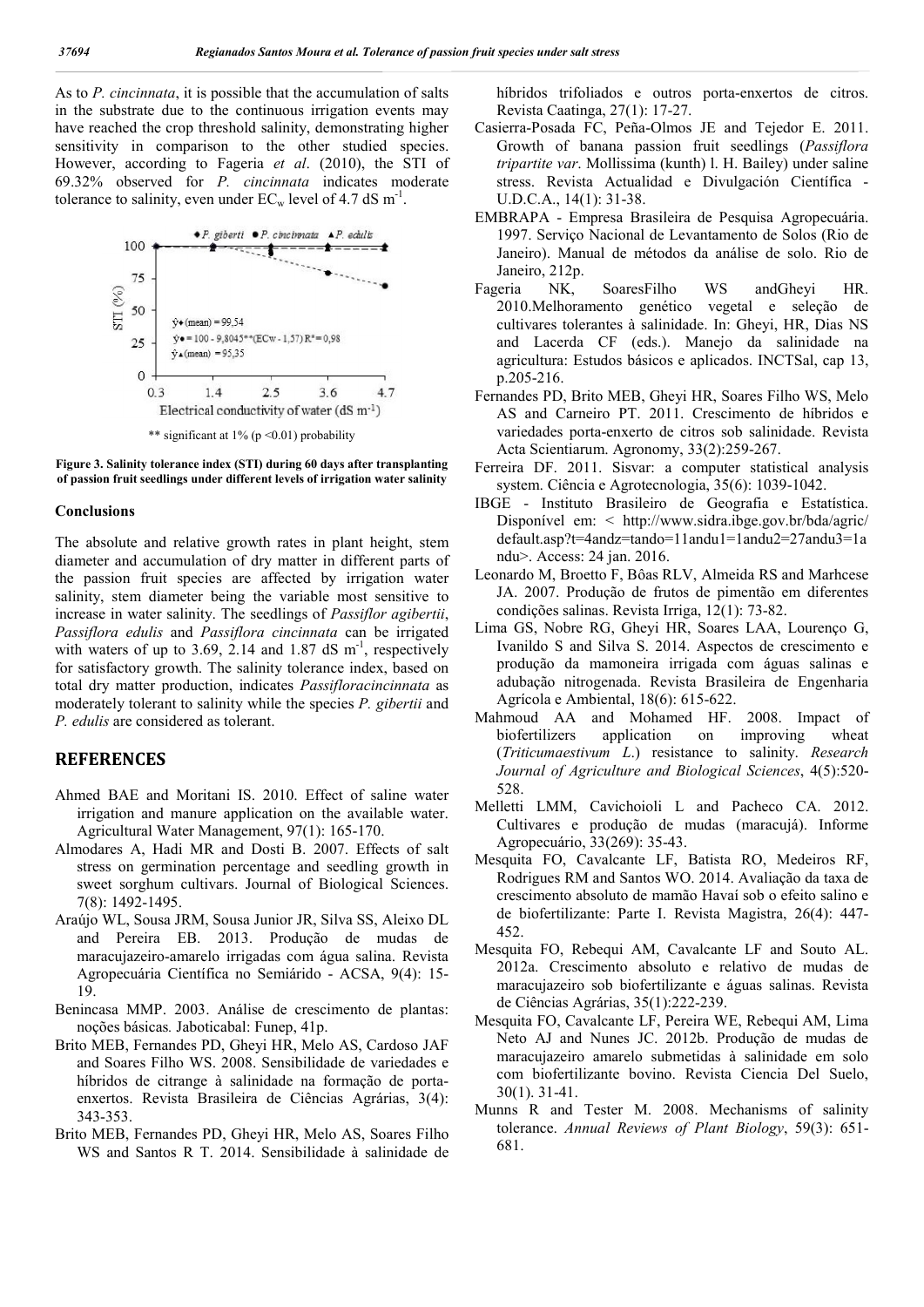As to *P. cincinnata*, it is possible that the accumulation of salts in the substrate due to the continuous irrigation events may have reached the crop threshold salinity, demonstrating higher sensitivity in comparison to the other studied species. However, according to Fageria *et al*. (2010), the STI of 69.32% observed for *P. cincinnata* indicates moderate tolerance to salinity, even under  $EC_w$  level of 4.7 dS m<sup>-1</sup>.





#### Conclusions

The absolute and relative growth rates in plant height, stem diameter and accumulation of dry matter in different parts of the passion fruit species are affected by irrigation water salinity, stem diameter being the variable most sensitive to increase in water salinity. The seedlings of *Passiflor agibertii*, *Passiflora edulis* and *Passiflora cincinnata* can be irrigated with waters of up to 3.69, 2.14 and 1.87 dS  $m^{-1}$ , respectively for satisfactory growth. The salinity tolerance index, based on total dry matter production, indicates *Passifloracincinnata* as moderately tolerant to salinity while the species *P. gibertii* and *P. edulis* are considered as tolerant.

#### **REFERENCES**

- Ahmed BAE and Moritani IS. 2010. Effect of saline water irrigation and manure application on the available water. Agricultural Water Management, 97(1): 165-170.
- Almodares A, Hadi MR and Dosti B. 2007. Effects of salt stress on germination percentage and seedling growth in sweet sorghum cultivars. Journal of Biological Sciences. 7(8): 1492-1495.
- Araújo WL, Sousa JRM, Sousa Junior JR, Silva SS, Aleixo DL and Pereira EB. 2013. Produção de mudas de maracujazeiro-amarelo irrigadas com água salina. Revista Agropecuária Científica no Semiárido - ACSA, 9(4): 15- 19.
- Benincasa MMP. 2003. Análise de crescimento de plantas: noções básicas*.* Jaboticabal: Funep, 41p.
- Brito MEB, Fernandes PD, Gheyi HR, Melo AS, Cardoso JAF and Soares Filho WS. 2008. Sensibilidade de variedades e híbridos de citrange à salinidade na formação de portaenxertos. Revista Brasileira de Ciências Agrárias, 3(4): 343-353.
- Brito MEB, Fernandes PD, Gheyi HR, Melo AS, Soares Filho WS and Santos R T. 2014. Sensibilidade à salinidade de

híbridos trifoliados e outros porta-enxertos de citros. Revista Caatinga, 27(1): 17-27.

- Casierra-Posada FC, Peña-Olmos JE and Tejedor E. 2011. Growth of banana passion fruit seedlings (*Passiflora tripartite var*. Mollissima (kunth) l. H. Bailey) under saline stress. Revista Actualidad e Divulgación Científica - U.D.C.A., 14(1): 31-38.
- EMBRAPA Empresa Brasileira de Pesquisa Agropecuária. 1997. Serviço Nacional de Levantamento de Solos (Rio de Janeiro). Manual de métodos da análise de solo. Rio de Janeiro, 212p.
- Fageria NK, SoaresFilho WS andGheyi HR. 2010.Melhoramento genético vegetal e seleção de cultivares tolerantes à salinidade. In: Gheyi, HR, Dias NS and Lacerda CF (eds.). Manejo da salinidade na agricultura: Estudos básicos e aplicados. INCTSal, cap 13, p.205-216.
- Fernandes PD, Brito MEB, Gheyi HR, Soares Filho WS, Melo AS and Carneiro PT. 2011. Crescimento de híbridos e variedades porta-enxerto de citros sob salinidade. Revista Acta Scientiarum. Agronomy, 33(2):259-267.
- Ferreira DF. 2011. Sisvar: a computer statistical analysis system. Ciência e Agrotecnologia, 35(6): 1039-1042.
- IBGE Instituto Brasileiro de Geografia e Estatística. Disponível em: < http://www.sidra.ibge.gov.br/bda/agric/ default.asp?t=4andz=tando=11andu1=1andu2=27andu3=1a ndu>. Access: 24 jan. 2016.
- Leonardo M, Broetto F, Bôas RLV, Almeida RS and Marhcese JA. 2007. Produção de frutos de pimentão em diferentes condições salinas. Revista Irriga, 12(1): 73-82.
- Lima GS, Nobre RG, Gheyi HR, Soares LAA, Lourenço G, Ivanildo S and Silva S. 2014. Aspectos de crescimento e produção da mamoneira irrigada com águas salinas e adubação nitrogenada. Revista Brasileira de Engenharia Agrícola e Ambiental, 18(6): 615-622.
- Mahmoud AA and Mohamed HF. 2008. Impact of biofertilizers application on improving wheat (*Triticumaestivum L*.) resistance to salinity. *Research Journal of Agriculture and Biological Sciences*, 4(5):520- 528.
- Melletti LMM, Cavichoioli L and Pacheco CA. 2012. Cultivares e produção de mudas (maracujá). Informe Agropecuário, 33(269): 35-43.
- Mesquita FO, Cavalcante LF, Batista RO, Medeiros RF, Rodrigues RM and Santos WO. 2014. Avaliação da taxa de crescimento absoluto de mamão Havaí sob o efeito salino e de biofertilizante: Parte I. Revista Magistra, 26(4): 447- 452.
- Mesquita FO, Rebequi AM, Cavalcante LF and Souto AL. 2012a. Crescimento absoluto e relativo de mudas de maracujazeiro sob biofertilizante e águas salinas. Revista de Ciências Agrárias, 35(1):222-239.
- Mesquita FO, Cavalcante LF, Pereira WE, Rebequi AM, Lima Neto AJ and Nunes JC. 2012b. Produção de mudas de maracujazeiro amarelo submetidas à salinidade em solo com biofertilizante bovino. Revista Ciencia Del Suelo, 30(1). 31-41.
- Munns R and Tester M. 2008. Mechanisms of salinity tolerance. *Annual Reviews of Plant Biology*, 59(3): 651- 681.